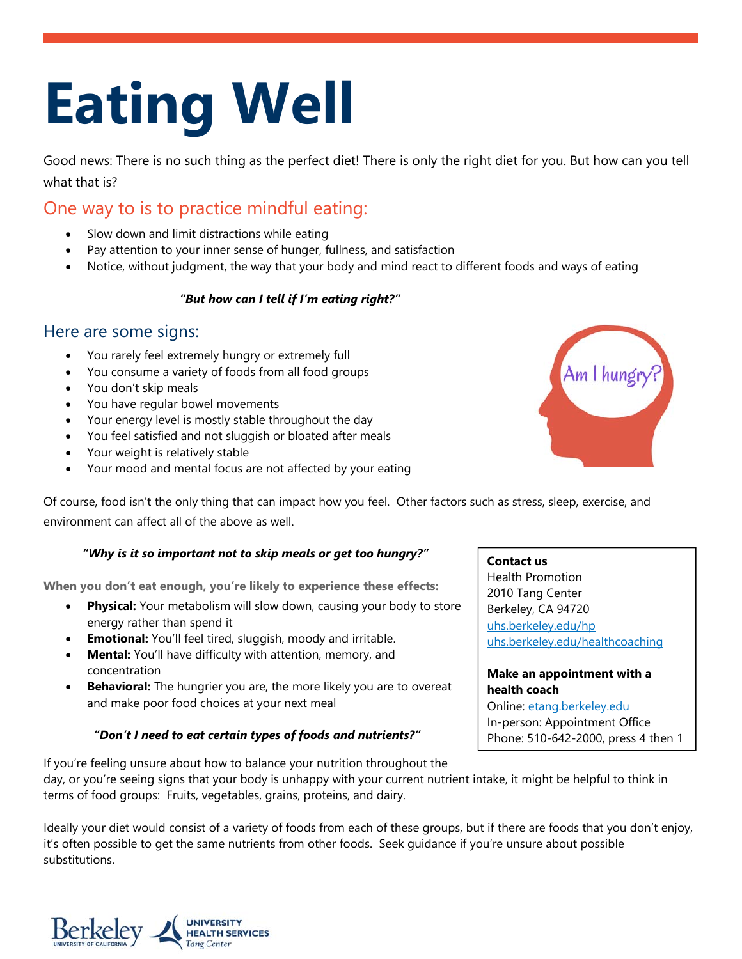# **Eating Well**

Good news: There is no such thing as the perfect diet! There is only the right diet for you. But how can you tell what that is?

## One way to is to practice mindful eating:

- Slow down and limit distractions while eating
- Pay attention to your inner sense of hunger, fullness, and satisfaction
- Notice, without judgment, the way that your body and mind react to different foods and ways of eating

#### *"But how can I tell if I'm eating right?"*

### Here are some signs:

- You rarely feel extremely hungry or extremely full
- You consume a variety of foods from all food groups
- You don't skip meals
- You have regular bowel movements
- Your energy level is mostly stable throughout the day
- You feel satisfied and not sluggish or bloated after meals
- Your weight is relatively stable
- Your mood and mental focus are not affected by your eating

Am I hungr

Of course, food isn't the only thing that can impact how you feel. Other factors such as stress, sleep, exercise, and environment can affect all of the above as well.

#### *"Why is it so important not to skip meals or get too hungry?"*

**When you don't eat enough, you're likely to experience these effects:** 

- **Physical:** Your metabolism will slow down, causing your body to store energy rather than spend it
- **Emotional:** You'll feel tired, sluggish, moody and irritable.
- **Mental:** You'll have difficulty with attention, memory, and concentration
- **Behavioral:** The hungrier you are, the more likely you are to overeat and make poor food choices at your next meal

#### *"Don't I need to eat certain types of foods and nutrients?"*

Health Promotion

**Contact us**

2010 Tang Center Berkeley, CA 94720 uhs.berkeley.edu/hp uhs.berkeley.edu/healthcoaching

**Make an appointment with a health coach** Online: etang.berkeley.edu In-person: Appointment Office Phone: 510-642-2000, press 4 then 1

If you're feeling unsure about how to balance your nutrition throughout the day, or you're seeing signs that your body is unhappy with your current nutrient intake, it might be helpful to think in terms of food groups: Fruits, vegetables, grains, proteins, and dairy.

Ideally your diet would consist of a variety of foods from each of these groups, but if there are foods that you don't enjoy, it's often possible to get the same nutrients from other foods. Seek guidance if you're unsure about possible substitutions.